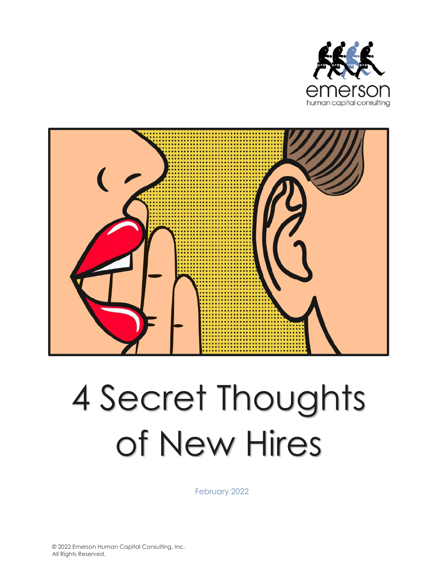



# 4 Secret Thoughts of New Hires

February 2022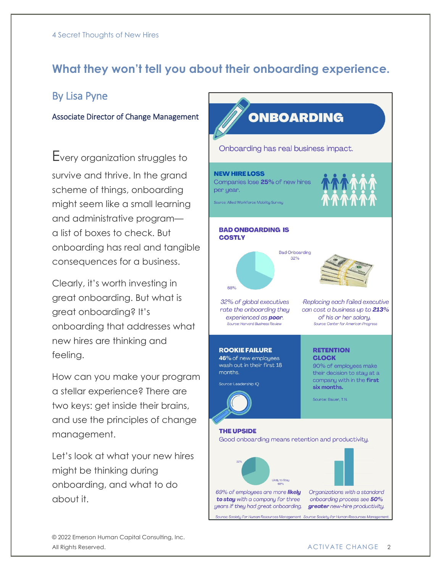## **What they won't tell you about their onboarding experience.**

### By Lisa Pyne

#### Associate Director of Change Management

Every organization struggles to survive and thrive. In the grand scheme of things, onboarding might seem like a small learning and administrative program a list of boxes to check. But onboarding has real and tangible consequences for a business.

Clearly, it's worth investing in great onboarding. But what is great onboarding? It's onboarding that addresses what new hires are thinking and feeling.

How can you make your program a stellar experience? There are two keys: get inside their brains, and use the principles of change management.

Let's look at what your new hires might be thinking during onboarding, and what to do about it.

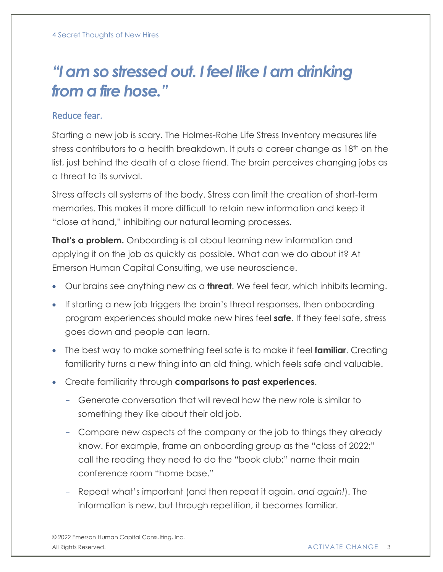# *"I am so stressed out. I feel like I am drinking from a fire hose."*

#### Reduce fear.

Starting a new job is scary. The Holmes-Rahe Life Stress Inventory measures life stress contributors to a health breakdown. It puts a career change as 18<sup>th</sup> on the list, just behind the death of a close friend. The brain perceives changing jobs as a threat to its survival.

Stress affects all systems of the body. Stress can limit the creation of short-term memories. This makes it more difficult to retain new information and keep it "close at hand," inhibiting our natural learning processes.

**That's a problem.** Onboarding is all about learning new information and applying it on the job as quickly as possible. What can we do about it? At Emerson Human Capital Consulting, we use neuroscience.

- Our brains see anything new as a **threat**. We feel fear, which inhibits learning.
- If starting a new job triggers the brain's threat responses, then onboarding program experiences should make new hires feel **safe**. If they feel safe, stress goes down and people can learn.
- The best way to make something feel safe is to make it feel **familiar**. Creating familiarity turns a new thing into an old thing, which feels safe and valuable.
- Create familiarity through **comparisons to past experiences**.
	- Generate conversation that will reveal how the new role is similar to something they like about their old job.
	- Compare new aspects of the company or the job to things they already know. For example, frame an onboarding group as the "class of 2022;" call the reading they need to do the "book club;" name their main conference room "home base."
	- Repeat what's important (and then repeat it again, *and again!*). The information is new, but through repetition, it becomes familiar.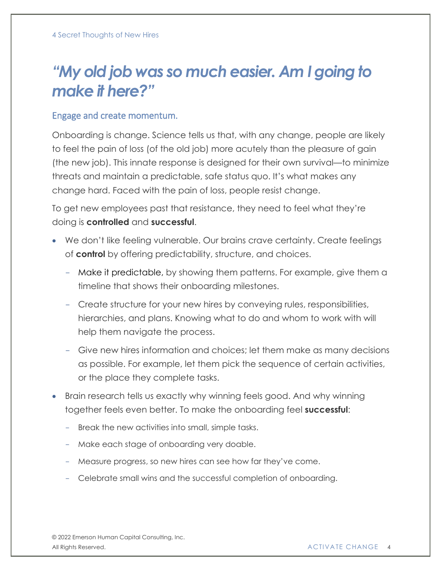## *"My old job was so much easier. Am I going to make it here?"*

#### Engage and create momentum.

Onboarding is change. Science tells us that, with any change, people are likely to feel the pain of loss (of the old job) more acutely than the pleasure of gain (the new job). This innate response is designed for their own survival—to minimize threats and maintain a predictable, safe status quo. It's what makes any change hard. Faced with the pain of loss, people resist change.

To get new employees past that resistance, they need to feel what they're doing is **controlled** and **successful**.

- We don't like feeling vulnerable. Our brains crave certainty. Create feelings of **control** by offering predictability, structure, and choices.
	- Make it predictable, by showing them patterns. For example, give them a timeline that shows their onboarding milestones.
	- Create structure for your new hires by conveying rules, responsibilities, hierarchies, and plans. Knowing what to do and whom to work with will help them navigate the process.
	- Give new hires information and choices; let them make as many decisions as possible. For example, let them pick the sequence of certain activities, or the place they complete tasks.
- Brain research tells us exactly why winning feels good. And why winning together feels even better. To make the onboarding feel **successful**:
	- Break the new activities into small, simple tasks.
	- Make each stage of onboarding very doable.
	- Measure progress, so new hires can see how far they've come.
	- Celebrate small wins and the successful completion of onboarding.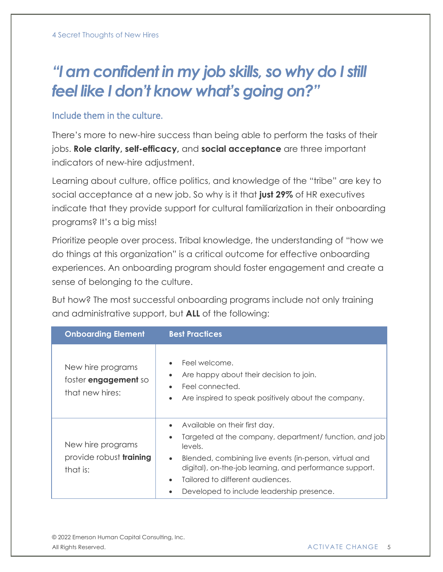# *"I am confident in my job skills, so why do I still feel like I don't know what's going on?"*

#### Include them in the culture.

There's more to new-hire success than being able to perform the tasks of their jobs. **Role clarity, self-efficacy,** and **social acceptance** are three important indicators of new-hire adjustment.

Learning about culture, office politics, and knowledge of the "tribe" are key to social acceptance at a new job. So why is it that **just 29%** of HR executives indicate that they provide support for cultural familiarization in their onboarding programs? It's a big miss!

Prioritize people over process. Tribal knowledge, the understanding of "how we do things at this organization" is a critical outcome for effective onboarding experiences. An onboarding program should foster engagement and create a sense of belonging to the culture.

But how? The most successful onboarding programs include not only training and administrative support, but **ALL** of the following:

| <b>Onboarding Element</b>                                           | <b>Best Practices</b>                                                                                                                                                                                                                                                                                                                           |
|---------------------------------------------------------------------|-------------------------------------------------------------------------------------------------------------------------------------------------------------------------------------------------------------------------------------------------------------------------------------------------------------------------------------------------|
| New hire programs<br>foster <b>engagement</b> so<br>that new hires: | Feel welcome.<br>Are happy about their decision to join.<br>Feel connected.<br>Are inspired to speak positively about the company.<br>$\bullet$                                                                                                                                                                                                 |
| New hire programs<br>provide robust training<br>that is:            | Available on their first day.<br>$\bullet$<br>Targeted at the company, department/ function, and job<br>levels.<br>Blended, combining live events (in-person, virtual and<br>$\bullet$<br>digital), on-the-job learning, and performance support.<br>Tailored to different audiences.<br>$\bullet$<br>Developed to include leadership presence. |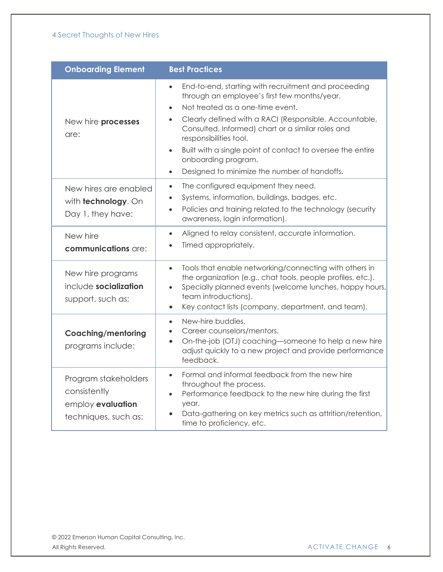| <b>Onboarding Element</b>                                                         | <b>Best Practices</b>                                                                                                                                                                                                                                                                                                                                                                                                                                                      |
|-----------------------------------------------------------------------------------|----------------------------------------------------------------------------------------------------------------------------------------------------------------------------------------------------------------------------------------------------------------------------------------------------------------------------------------------------------------------------------------------------------------------------------------------------------------------------|
| New hire processes<br>are:                                                        | End-to-end, starting with recruitment and proceeding<br>$\bullet$<br>through an employee's first few months/year.<br>Not treated as a one-time event.<br>$\bullet$<br>Clearly defined with a RACI (Responsible, Accountable,<br>Consulted, Informed) chart or a similar roles and<br>responsibilities tool.<br>Built with a single point of contact to oversee the entire<br>$\bullet$<br>onboarding program.<br>Designed to minimize the number of handoffs.<br>$\bullet$ |
| New hires are enabled<br>with <b>technology</b> . On<br>Day 1, they have:         | The configured equipment they need.<br>$\bullet$<br>Systems, information, buildings, badges, etc.<br>Policies and training related to the technology (security<br>$\bullet$<br>awareness, login information).                                                                                                                                                                                                                                                              |
| New hire<br>communications are:                                                   | Aligned to relay consistent, accurate information.<br>$\bullet$<br>Timed appropriately.                                                                                                                                                                                                                                                                                                                                                                                    |
| New hire programs<br>include socialization<br>support, such as:                   | Tools that enable networking/connecting with others in<br>$\bullet$<br>the organization (e.g., chat tools, people profiles, etc.).<br>Specially planned events (welcome lunches, happy hours,<br>$\bullet$<br>team introductions).<br>Key contact lists (company, department, and team).<br>$\bullet$                                                                                                                                                                      |
| <b>Coaching/mentoring</b><br>programs include:                                    | New-hire buddies.<br>$\bullet$<br>Career counselors/mentors.<br>On-the-job (OTJ) coaching-someone to help a new hire<br>$\bullet$<br>adjust quickly to a new project and provide performance<br>feedback.                                                                                                                                                                                                                                                                  |
| Program stakeholders<br>consistently<br>employ evaluation<br>techniques, such as: | Formal and informal feedback from the new hire<br>$\bullet$<br>throughout the process.<br>Performance feedback to the new hire during the first<br>$\bullet$<br>year.<br>Data-gathering on key metrics such as attrition/retention,<br>$\bullet$<br>time to proficiency, etc.                                                                                                                                                                                              |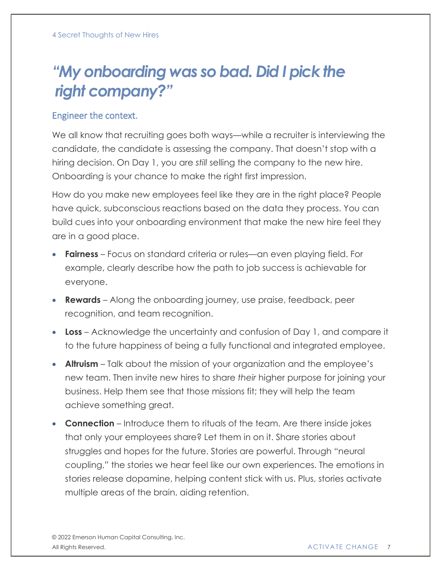# *"My onboarding was so bad. Did I pick the right company?"*

#### Engineer the context.

We all know that recruiting goes both ways—while a recruiter is interviewing the candidate, the candidate is assessing the company. That doesn't stop with a hiring decision. On Day 1, you are *still* selling the company to the new hire. Onboarding is your chance to make the right first impression.

How do you make new employees feel like they are in the right place? People have quick, subconscious reactions based on the data they process. You can build cues into your onboarding environment that make the new hire feel they are in a good place.

- **Fairness** Focus on standard criteria or rules—an even playing field. For example, clearly describe how the path to job success is achievable for everyone.
- **Rewards** Along the onboarding journey, use praise, feedback, peer recognition, and team recognition.
- **Loss** Acknowledge the uncertainty and confusion of Day 1, and compare it to the future happiness of being a fully functional and integrated employee.
- **Altruism** Talk about the mission of your organization and the employee's new team. Then invite new hires to share *their* higher purpose for joining your business. Help them see that those missions fit; they will help the team achieve something great.
- **Connection** Introduce them to rituals of the team. Are there inside jokes that only your employees share? Let them in on it. Share stories about struggles and hopes for the future. Stories are powerful. Through "neural coupling," the stories we hear feel like our own experiences. The emotions in stories release dopamine, helping content stick with us. Plus, stories activate multiple areas of the brain, aiding retention.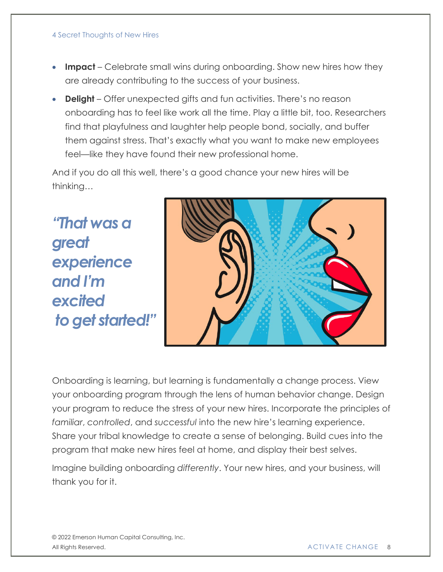#### 4 Secret Thoughts of New Hires

- **Impact** Celebrate small wins during onboarding. Show new hires how they are already contributing to the success of your business.
- **Delight** Offer unexpected gifts and fun activities. There's no reason onboarding has to feel like work all the time. Play a little bit, too. Researchers find that playfulness and laughter help people bond, socially, and buffer them against stress. That's exactly what you want to make new employees feel—like they have found their new professional home.

And if you do all this well, there's a good chance your new hires will be thinking…

*"That was a great experience and I'm excited to get started!"*



Onboarding is learning, but learning is fundamentally a change process. View your onboarding program through the lens of human behavior change. Design your program to reduce the stress of your new hires. Incorporate the principles of *familiar*, *controlled*, and *successful* into the new hire's learning experience. Share your tribal knowledge to create a sense of belonging. Build cues into the program that make new hires feel at home, and display their best selves.

Imagine building onboarding *differently*. Your new hires, and your business, will thank you for it.